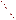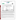# **THE ENVIRONMENTAL TECHNOLOGY VERIFICATION**







# **ETV Joint Verification Statement**

| <b>TECHNOLOGY TYPE: Continuous Ambient Fine Particle Monitor</b> |                                                                 |                                   |
|------------------------------------------------------------------|-----------------------------------------------------------------|-----------------------------------|
| <b>APPLICATION:</b>                                              | <b>MEASURING FINE PARTICULATE MASS IN</b><br><b>AMBIENT AIR</b> |                                   |
| <b>TECHNOLOGY</b>                                                |                                                                 |                                   |
| <b>NAME:</b>                                                     | <b>Electrical Low Pressure Impactor</b>                         |                                   |
| <b>COMPANY:</b>                                                  | Dekati Ltd.                                                     |                                   |
| <b>ADDRESS:</b>                                                  | Osuusmyllynkatu 13                                              | PHONE: +358(0)3-3578100           |
| <b>WEB SITE:</b>                                                 | 33700 Tampere, Finland                                          | <b>FAX:</b><br>$+358(0)3-3578140$ |
| $E\text{-}MAIL:$                                                 | http://www/dekati/fi<br>dekati@dekati.fi                        |                                   |
|                                                                  |                                                                 |                                   |

The U.S. Environmental Protection Agency (EPA) has created the Environmental Technology Verification (ETV) Program to facilitate the deployment of innovative or improved environmental technologies through performance verification and dissemination of information. The goal of the ETV Program is to further environmental protection by substantially accelerating the acceptance and use of improved and cost-effective technologies. ETV seeks to achieve this goal by providing high-quality, peer-reviewed data on technology performance to those involved in the design, distribution, financing, permitting, purchase, and use of environmental technologies.

ETV works in partnership with recognized standards and testing organizations; with stakeholder groups that consist of buyers, vendor organizations, and permitters; and with the full participation of individual technology developers. The program evaluates the performance of innovative technologies by developing test plans that are responsive to the needs of stakeholders, conducting field or laboratory tests (as appropriate), collecting and analyzing data, and preparing peer-reviewed reports. All evaluations are conducted in accordance with rigorous quality assurance protocols to ensure that data of known and adequate quality are generated and that the results are defensible.

The Advanced Monitoring Systems (AMS) Center, one of six technology centers under ETV, is operated by Battelle in cooperation with EPA's National Exposure Research Laboratory. The AMS Center has recently evaluated the performance of continuous monitors used to measure fine particulate mass and species in ambient air. This verification statement provides a summary of the test results for the Dekati Ltd. electrical low pressure impactor (ELPI™) particle monitor.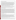## **VERIFICATION TEST DESCRIPTION**

The objective of this verification test is to provide quantitative performance data on continuous fine particle monitors under a range of realistic operating conditions. To meet this objective, field testing was conducted in two phases in geographically distinct regions of the United States during different seasons of the year. The first phase of field testing was conducted at the ambient air monitoring station on the Department of Energy's National Energy Technology Laboratory campus in Pittsburgh, PA, from August 1 to September 1, 2000. The second phase of testing was performed at the California Air Resources Board's ambient air monitoring station in Fresno, CA, from December 18, 2000, to January 17, 2001. Specific performance characteristics verified in this test include inter-unit precision, accuracy and correlation relative to time-integrated reference methods, effect of meteorological conditions, influence of precursor gases, and short-term monitoring capabilities. The ELPI™ reports measurement results in terms of  $PM<sub>2.5</sub>$  mass and, therefore, was compared with the federal reference method (FRM) for  $PM<sub>2.5</sub>$  mass determination. Additionally, comparisons with a variety of supplemental measurements were made to establish specific performance characteristics.

Quality assurance (QA) oversight of verification testing was provided by Battelle and EPA. Battelle QA staff conducted a data quality audit of 10% of the test data, and performance evaluation audits were conducted on the FRM samplers used in the verification test. Battelle QA staff conducted an internal technical systems audit for Phase I and Phase II. EPA QA staff conducted an external technical systems audit during Phase II.

### **TECHNOLOGY DESCRIPTION**

The ELPI™ measures particle sizes (from 0.03 to 10 micrometers in diameter) and particle concentrations in real time. The ELPI™ sensor measures the electrical current carried by charged particles at 12 impactor stages, using a highly sensitive, multichannel electrometer as the particle impacts the collection plate. Aerosol is sampled through a unipolar corona charger, and the charged particles pass into a low pressure impactor with electrically isolated collection stages. Particle collection into each impactor stage is dependent on the aerodynamic size of the particles. Measured current signals are converted to (aerodynamic) size distribution using particle-size dependent relations describing the properties of the charger and the impactor stages. Particles can be collected on substrates for microscopic analysis or additional measurements of mass or composition. The ELPI™ charger calibration is based on aerosol particle number distribution measurement. Particulate mass is calculated assuming a spherical shape and known density for the particles. PM<sub>2.5</sub> mass is calculated by integrating the particle mass from ELPI<sup>TM</sup> stages 1 to 8 from the particle size distribution. The ELPI™ software features a graphical user interface and permits monitoring each stage during loading. Total concentration and particle-size data are updated continuously. Data can be displayed either on a number, volume, area, or mass basis. ELPI™ components are housed in a single unit with a standard RS-232 port for communication with a laptop or PC. The ELPI™ is 570 mm high x 420 mm wide x 260 mm deep.

### **VERIFICATION OF PERFORMANCE**

**Inter-Unit Precision:** During Phase I, regression analysis showed r<sup>2</sup> values of 0.958 and 0.963, respectively, for the 10-minute data and the 24-hour averages from the duplicate ELPI™ monitors. The slopes of the regression lines were 0.922 (0.006) and 0.958 (0.073), respectively, for the 10-minute data and 24-hour averages, and no statistically significant intercept was observed in either case at the 95% confidence level. The calculated coefficient of variation (CV) for the 10-minute data was 9.2%; and, for the 24-hour data, the CV was 8.8%. During Phase II, regression analysis showed  $r^2$  values of 0.910 and 0.896, respectively, for the 10-minute data and the 24-hour averages. The slopes of the regression lines were 1.237 (0.012) and 1.240 (0.167), respectively, for the 10-minute data and 24-hour averages, indicating a bias between the two monitors. The calculated CV for the 10-minute data was 18.2%; and, for the 24-hour data, the CV was 18.5%.

**Comparability/Predictability:** During Phase I, comparisons of the 24-hour averages with PM<sub>2.5</sub> FRM results showed intercepts that were not significantly different from zero and slopes of the regression lines of 1.81 (0.29)